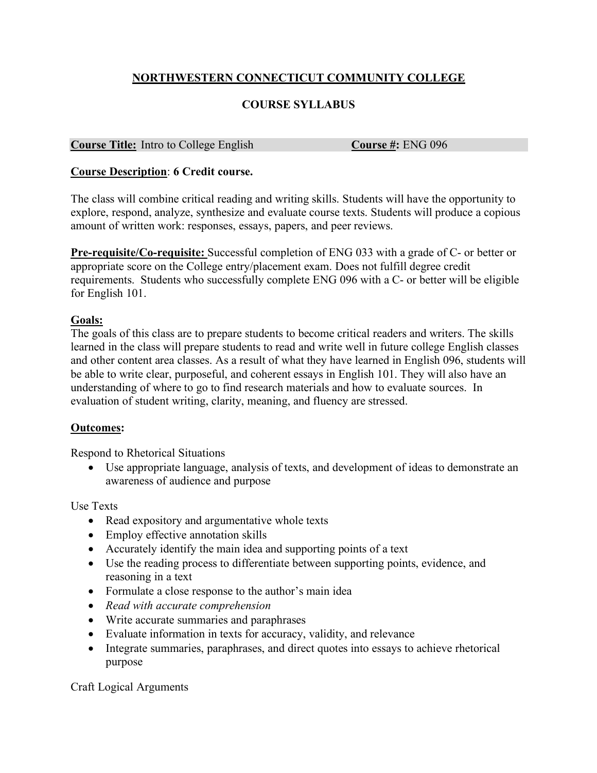# **NORTHWESTERN CONNECTICUT COMMUNITY COLLEGE**

## **COURSE SYLLABUS**

#### **Course Title:** Intro to College English **Course #:** ENG 096

#### **Course Description**: **6 Credit course.**

The class will combine critical reading and writing skills. Students will have the opportunity to explore, respond, analyze, synthesize and evaluate course texts. Students will produce a copious amount of written work: responses, essays, papers, and peer reviews.

**Pre-requisite/Co-requisite:** Successful completion of ENG 033 with a grade of C- or better or appropriate score on the College entry/placement exam. Does not fulfill degree credit requirements. Students who successfully complete ENG 096 with a C- or better will be eligible for English 101.

### **Goals:**

The goals of this class are to prepare students to become critical readers and writers. The skills learned in the class will prepare students to read and write well in future college English classes and other content area classes. As a result of what they have learned in English 096, students will be able to write clear, purposeful, and coherent essays in English 101. They will also have an understanding of where to go to find research materials and how to evaluate sources. In evaluation of student writing, clarity, meaning, and fluency are stressed.

### **Outcomes:**

Respond to Rhetorical Situations

• Use appropriate language, analysis of texts, and development of ideas to demonstrate an awareness of audience and purpose

Use Texts

- Read expository and argumentative whole texts
- Employ effective annotation skills
- Accurately identify the main idea and supporting points of a text
- Use the reading process to differentiate between supporting points, evidence, and reasoning in a text
- Formulate a close response to the author's main idea
- *Read with accurate comprehension*
- Write accurate summaries and paraphrases
- Evaluate information in texts for accuracy, validity, and relevance
- Integrate summaries, paraphrases, and direct quotes into essays to achieve rhetorical purpose

Craft Logical Arguments